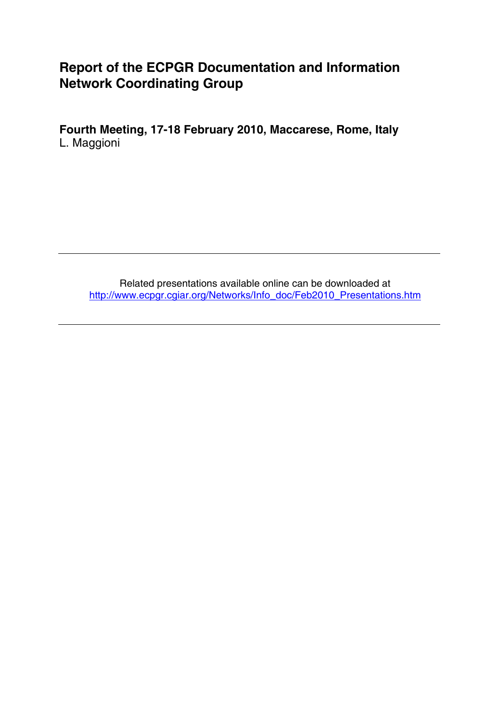# **Report of the ECPGR Documentation and Information Network Coordinating Group**

**Fourth Meeting, 17-18 February 2010, Maccarese, Rome, Italy**  L. Maggioni

Related presentations available online can be downloaded at [http://www.ecpgr.cgiar.org/Networks/Info\\_doc/Feb2010\\_Presentations.htm](http://www.ecpgr.cgiar.org/Networks/Info_doc/Feb2010_Presentations.htm)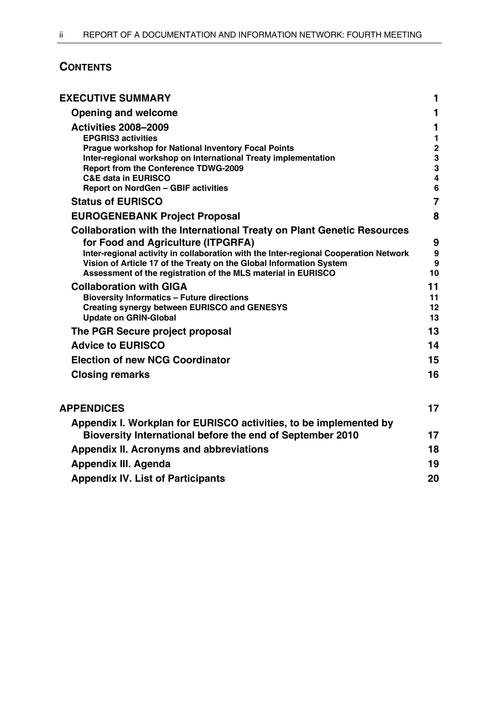# **CONTENTS**

| <b>EXECUTIVE SUMMARY</b>                                                                                                                                                                                                                                                                                                                            | 1                                                   |
|-----------------------------------------------------------------------------------------------------------------------------------------------------------------------------------------------------------------------------------------------------------------------------------------------------------------------------------------------------|-----------------------------------------------------|
| <b>Opening and welcome</b>                                                                                                                                                                                                                                                                                                                          | $\mathbf 1$                                         |
| <b>Activities 2008-2009</b><br><b>EPGRIS3 activities</b><br><b>Prague workshop for National Inventory Focal Points</b><br>Inter-regional workshop on International Treaty implementation                                                                                                                                                            | 1<br>$\mathbf{1}$<br>$\overline{2}$<br>3            |
| <b>Report from the Conference TDWG-2009</b><br><b>C&amp;E data in EURISCO</b><br>Report on NordGen - GBIF activities                                                                                                                                                                                                                                | $\overline{3}$<br>$\overline{4}$<br>$6\phantom{1}6$ |
| <b>Status of EURISCO</b>                                                                                                                                                                                                                                                                                                                            | $\overline{7}$                                      |
| <b>EUROGENEBANK Project Proposal</b>                                                                                                                                                                                                                                                                                                                | 8                                                   |
| <b>Collaboration with the International Treaty on Plant Genetic Resources</b><br>for Food and Agriculture (ITPGRFA)<br>Inter-regional activity in collaboration with the Inter-regional Cooperation Network<br>Vision of Article 17 of the Treaty on the Global Information System<br>Assessment of the registration of the MLS material in EURISCO | 9<br>9<br>9<br>10                                   |
| <b>Collaboration with GIGA</b><br><b>Bioversity Informatics - Future directions</b><br><b>Creating synergy between EURISCO and GENESYS</b><br><b>Update on GRIN-Global</b>                                                                                                                                                                          | 11<br>11<br>12<br>13                                |
| The PGR Secure project proposal                                                                                                                                                                                                                                                                                                                     | 13                                                  |
| <b>Advice to EURISCO</b>                                                                                                                                                                                                                                                                                                                            | 14                                                  |
| <b>Election of new NCG Coordinator</b>                                                                                                                                                                                                                                                                                                              | 15                                                  |
| <b>Closing remarks</b>                                                                                                                                                                                                                                                                                                                              | 16                                                  |
| <b>APPENDICES</b>                                                                                                                                                                                                                                                                                                                                   | 17                                                  |
| Appendix I. Workplan for EURISCO activities, to be implemented by<br>Bioversity International before the end of September 2010                                                                                                                                                                                                                      | 17                                                  |
| <b>Appendix II. Acronyms and abbreviations</b>                                                                                                                                                                                                                                                                                                      | 18                                                  |
| <b>Appendix III. Agenda</b>                                                                                                                                                                                                                                                                                                                         | 19                                                  |
| <b>Appendix IV. List of Participants</b>                                                                                                                                                                                                                                                                                                            | 20                                                  |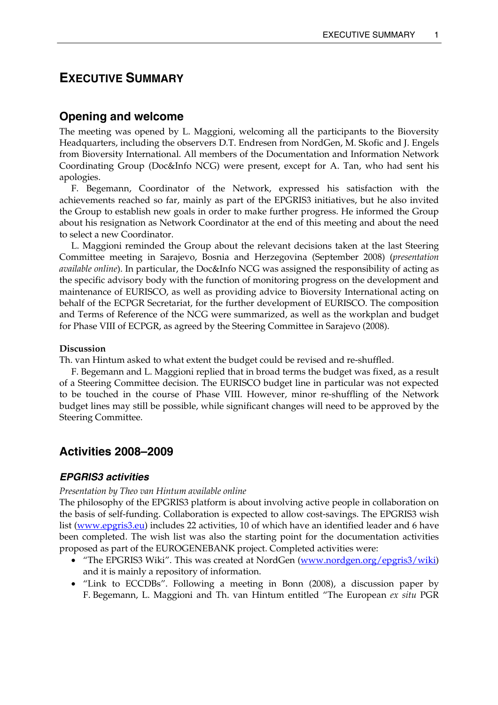# <span id="page-2-0"></span>**EXECUTIVE SUMMARY**

# **Opening and welcome**

The meeting was opened by L. Maggioni, welcoming all the participants to the Bioversity Headquarters, including the observers D.T. Endresen from NordGen, M. Skofic and J. Engels from Bioversity International. All members of the Documentation and Information Network Coordinating Group (Doc&Info NCG) were present, except for A. Tan, who had sent his apologies.

 F. Begemann, Coordinator of the Network, expressed his satisfaction with the achievements reached so far, mainly as part of the EPGRIS3 initiatives, but he also invited the Group to establish new goals in order to make further progress. He informed the Group about his resignation as Network Coordinator at the end of this meeting and about the need to select a new Coordinator.

 L. Maggioni reminded the Group about the relevant decisions taken at the last Steering Committee meeting in Sarajevo, Bosnia and Herzegovina (September 2008) (*presentation available online*). In particular, the Doc&Info NCG was assigned the responsibility of acting as the specific advisory body with the function of monitoring progress on the development and maintenance of EURISCO, as well as providing advice to Bioversity International acting on behalf of the ECPGR Secretariat, for the further development of EURISCO. The composition and Terms of Reference of the NCG were summarized, as well as the workplan and budget for Phase VIII of ECPGR, as agreed by the Steering Committee in Sarajevo (2008).

## **Discussion**

Th. van Hintum asked to what extent the budget could be revised and re-shuffled.

 F. Begemann and L. Maggioni replied that in broad terms the budget was fixed, as a result of a Steering Committee decision. The EURISCO budget line in particular was not expected to be touched in the course of Phase VIII. However, minor re-shuffling of the Network budget lines may still be possible, while significant changes will need to be approved by the Steering Committee.

# **Activities 2008–2009**

# *EPGRIS3 activities*

## *Presentation by Theo van Hintum available online*

The philosophy of the EPGRIS3 platform is about involving active people in collaboration on the basis of self-funding. Collaboration is expected to allow cost-savings. The EPGRIS3 wish list [\(www.epgris3.eu\)](http://www.epgris3.eu/) includes 22 activities, 10 of which have an identified leader and 6 have been completed. The wish list was also the starting point for the documentation activities proposed as part of the EUROGENEBANK project. Completed activities were:

- "The EPGRIS3 Wiki". This was created at NordGen [\(www.nordgen.org/epgris3/wiki\)](http://www.nordgen.org/epgris3/wiki) and it is mainly a repository of information.
- "Link to ECCDBs". Following a meeting in Bonn (2008), a discussion paper by F. Begemann, L. Maggioni and Th. van Hintum entitled "The European *ex situ* PGR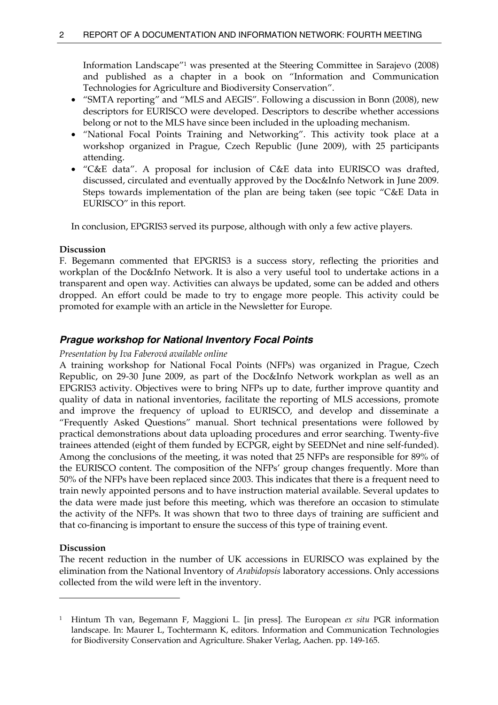<span id="page-3-0"></span>Information Landscape"[1](#page-3-1) was presented at the Steering Committee in Sarajevo (2008) and published as a chapter in a book on "Information and Communication Technologies for Agriculture and Biodiversity Conservation".

- "SMTA reporting" and "MLS and AEGIS". Following a discussion in Bonn (2008), new descriptors for EURISCO were developed. Descriptors to describe whether accessions belong or not to the MLS have since been included in the uploading mechanism.
- "National Focal Points Training and Networking". This activity took place at a workshop organized in Prague, Czech Republic (June 2009), with 25 participants attending.
- "C&E data". A proposal for inclusion of C&E data into EURISCO was drafted, discussed, circulated and eventually approved by the Doc&Info Network in June 2009. Steps towards implementation of the plan are being taken (see topic "C&E Data in EURISCO" in this report.

In conclusion, EPGRIS3 served its purpose, although with only a few active players.

### **Discussion**

F. Begemann commented that EPGRIS3 is a success story, reflecting the priorities and workplan of the Doc&Info Network. It is also a very useful tool to undertake actions in a transparent and open way. Activities can always be updated, some can be added and others dropped. An effort could be made to try to engage more people. This activity could be promoted for example with an article in the Newsletter for Europe.

# *Prague workshop for National Inventory Focal Points*

### *Presentation by Iva Faberová available online*

A training workshop for National Focal Points (NFPs) was organized in Prague, Czech Republic, on 29-30 June 2009, as part of the Doc&Info Network workplan as well as an EPGRIS3 activity. Objectives were to bring NFPs up to date, further improve quantity and quality of data in national inventories, facilitate the reporting of MLS accessions, promote and improve the frequency of upload to EURISCO, and develop and disseminate a "Frequently Asked Questions" manual. Short technical presentations were followed by practical demonstrations about data uploading procedures and error searching. Twenty-five trainees attended (eight of them funded by ECPGR, eight by SEEDNet and nine self-funded). Among the conclusions of the meeting, it was noted that 25 NFPs are responsible for 89% of the EURISCO content. The composition of the NFPs' group changes frequently. More than 50% of the NFPs have been replaced since 2003. This indicates that there is a frequent need to train newly appointed persons and to have instruction material available. Several updates to the data were made just before this meeting, which was therefore an occasion to stimulate the activity of the NFPs. It was shown that two to three days of training are sufficient and that co-financing is important to ensure the success of this type of training event.

## **Discussion**

 $\overline{a}$ 

The recent reduction in the number of UK accessions in EURISCO was explained by the elimination from the National Inventory of *Arabidopsis* laboratory accessions. Only accessions collected from the wild were left in the inventory.

<span id="page-3-1"></span><sup>1</sup> Hintum Th van, Begemann F, Maggioni L. [in press]. The European *ex situ* PGR information landscape. In: Maurer L, Tochtermann K, editors. Information and Communication Technologies for Biodiversity Conservation and Agriculture. Shaker Verlag, Aachen. pp. 149-165.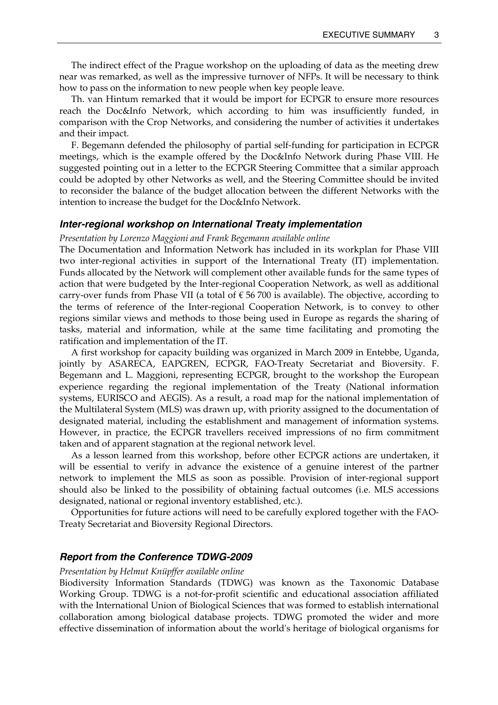<span id="page-4-0"></span> The indirect effect of the Prague workshop on the uploading of data as the meeting drew near was remarked, as well as the impressive turnover of NFPs. It will be necessary to think how to pass on the information to new people when key people leave.

 Th. van Hintum remarked that it would be import for ECPGR to ensure more resources reach the Doc&Info Network, which according to him was insufficiently funded, in comparison with the Crop Networks, and considering the number of activities it undertakes and their impact.

 F. Begemann defended the philosophy of partial self-funding for participation in ECPGR meetings, which is the example offered by the Doc&Info Network during Phase VIII. He suggested pointing out in a letter to the ECPGR Steering Committee that a similar approach could be adopted by other Networks as well, and the Steering Committee should be invited to reconsider the balance of the budget allocation between the different Networks with the intention to increase the budget for the Doc&Info Network.

#### *Inter-regional workshop on International Treaty implementation*

# *Presentation by Lorenzo Maggioni and Frank Begemann available online*

The Documentation and Information Network has included in its workplan for Phase VIII two inter-regional activities in support of the International Treaty (IT) implementation. Funds allocated by the Network will complement other available funds for the same types of action that were budgeted by the Inter-regional Cooperation Network, as well as additional carry-over funds from Phase VII (a total of  $\epsilon$  56 700 is available). The objective, according to the terms of reference of the Inter-regional Cooperation Network, is to convey to other regions similar views and methods to those being used in Europe as regards the sharing of tasks, material and information, while at the same time facilitating and promoting the ratification and implementation of the IT.

 A first workshop for capacity building was organized in March 2009 in Entebbe, Uganda, jointly by ASARECA, EAPGREN, ECPGR, FAO-Treaty Secretariat and Bioversity. F. Begemann and L. Maggioni, representing ECPGR, brought to the workshop the European experience regarding the regional implementation of the Treaty (National information systems, EURISCO and AEGIS). As a result, a road map for the national implementation of the Multilateral System (MLS) was drawn up, with priority assigned to the documentation of designated material, including the establishment and management of information systems. However, in practice, the ECPGR travellers received impressions of no firm commitment taken and of apparent stagnation at the regional network level.

 As a lesson learned from this workshop, before other ECPGR actions are undertaken, it will be essential to verify in advance the existence of a genuine interest of the partner network to implement the MLS as soon as possible. Provision of inter-regional support should also be linked to the possibility of obtaining factual outcomes (i.e. MLS accessions designated, national or regional inventory established, etc.).

 Opportunities for future actions will need to be carefully explored together with the FAO-Treaty Secretariat and Bioversity Regional Directors.

## *Report from the Conference TDWG-2009*

*Presentation by Helmut Knüpffer available online* 

Biodiversity Information Standards (TDWG) was known as the Taxonomic Database Working Group. TDWG is a not-for-profit scientific and educational association affiliated with the International Union of Biological Sciences that was formed to establish international collaboration among biological database projects. TDWG promoted the wider and more effective dissemination of information about the world's heritage of biological organisms for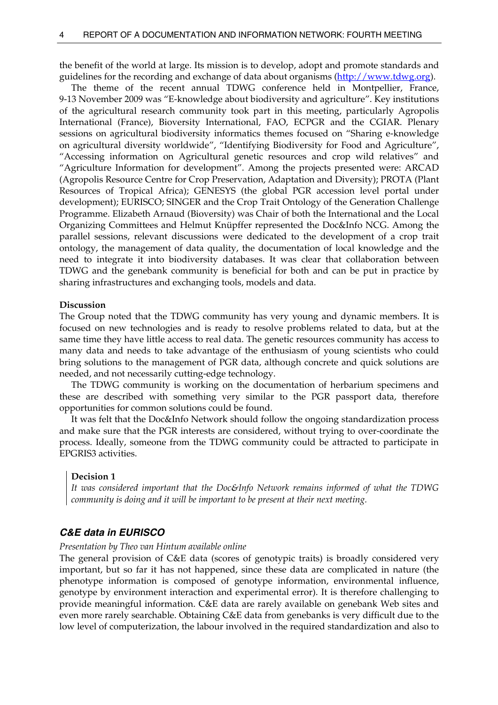<span id="page-5-0"></span>the benefit of the world at large. Its mission is to develop, adopt and promote standards and guidelines for the recording and exchange of data about organisms ([http://www.tdwg.org](http://www.tdwg.org/)).

 The theme of the recent annual TDWG conference held in Montpellier, France, 9-13 November 2009 was "E-knowledge about biodiversity and agriculture". Key institutions of the agricultural research community took part in this meeting, particularly Agropolis International (France), Bioversity International, FAO, ECPGR and the CGIAR. Plenary sessions on agricultural biodiversity informatics themes focused on "Sharing e-knowledge on agricultural diversity worldwide", "Identifying Biodiversity for Food and Agriculture", "Accessing information on Agricultural genetic resources and crop wild relatives" and "Agriculture Information for development". Among the projects presented were: ARCAD (Agropolis Resource Centre for Crop Preservation, Adaptation and Diversity); PROTA (Plant Resources of Tropical Africa); GENESYS (the global PGR accession level portal under development); EURISCO; SINGER and the Crop Trait Ontology of the Generation Challenge Programme. Elizabeth Arnaud (Bioversity) was Chair of both the International and the Local Organizing Committees and Helmut Knüpffer represented the Doc&Info NCG. Among the parallel sessions, relevant discussions were dedicated to the development of a crop trait ontology, the management of data quality, the documentation of local knowledge and the need to integrate it into biodiversity databases. It was clear that collaboration between TDWG and the genebank community is beneficial for both and can be put in practice by sharing infrastructures and exchanging tools, models and data.

#### **Discussion**

The Group noted that the TDWG community has very young and dynamic members. It is focused on new technologies and is ready to resolve problems related to data, but at the same time they have little access to real data. The genetic resources community has access to many data and needs to take advantage of the enthusiasm of young scientists who could bring solutions to the management of PGR data, although concrete and quick solutions are needed, and not necessarily cutting-edge technology.

 The TDWG community is working on the documentation of herbarium specimens and these are described with something very similar to the PGR passport data, therefore opportunities for common solutions could be found.

 It was felt that the Doc&Info Network should follow the ongoing standardization process and make sure that the PGR interests are considered, without trying to over-coordinate the process. Ideally, someone from the TDWG community could be attracted to participate in EPGRIS3 activities.

#### **Decision 1**

*It was considered important that the Doc&Info Network remains informed of what the TDWG community is doing and it will be important to be present at their next meeting.* 

### *C&E data in EURISCO*

### *Presentation by Theo van Hintum available online*

The general provision of C&E data (scores of genotypic traits) is broadly considered very important, but so far it has not happened, since these data are complicated in nature (the phenotype information is composed of genotype information, environmental influence, genotype by environment interaction and experimental error). It is therefore challenging to provide meaningful information. C&E data are rarely available on genebank Web sites and even more rarely searchable. Obtaining C&E data from genebanks is very difficult due to the low level of computerization, the labour involved in the required standardization and also to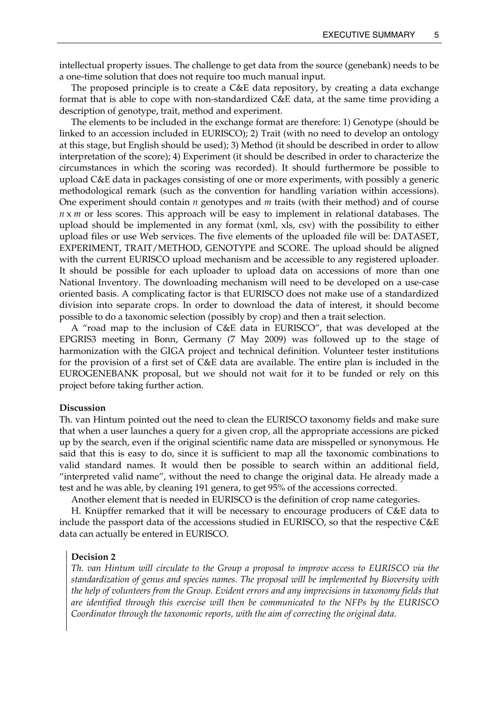intellectual property issues. The challenge to get data from the source (genebank) needs to be a one-time solution that does not require too much manual input.

 The proposed principle is to create a C&E data repository, by creating a data exchange format that is able to cope with non-standardized C&E data, at the same time providing a description of genotype, trait, method and experiment.

 The elements to be included in the exchange format are therefore: 1) Genotype (should be linked to an accession included in EURISCO); 2) Trait (with no need to develop an ontology at this stage, but English should be used); 3) Method (it should be described in order to allow interpretation of the score); 4) Experiment (it should be described in order to characterize the circumstances in which the scoring was recorded). It should furthermore be possible to upload C&E data in packages consisting of one or more experiments, with possibly a generic methodological remark (such as the convention for handling variation within accessions). One experiment should contain *n* genotypes and *m* traits (with their method) and of course *n* x *m* or less scores. This approach will be easy to implement in relational databases. The upload should be implemented in any format (xml, xls, csv) with the possibility to either upload files or use Web services. The five elements of the uploaded file will be: DATASET, EXPERIMENT, TRAIT/METHOD, GENOTYPE and SCORE. The upload should be aligned with the current EURISCO upload mechanism and be accessible to any registered uploader. It should be possible for each uploader to upload data on accessions of more than one National Inventory. The downloading mechanism will need to be developed on a use-case oriented basis. A complicating factor is that EURISCO does not make use of a standardized division into separate crops. In order to download the data of interest, it should become possible to do a taxonomic selection (possibly by crop) and then a trait selection.

 A "road map to the inclusion of C&E data in EURISCO", that was developed at the EPGRIS3 meeting in Bonn, Germany (7 May 2009) was followed up to the stage of harmonization with the GIGA project and technical definition. Volunteer tester institutions for the provision of a first set of C&E data are available. The entire plan is included in the EUROGENEBANK proposal, but we should not wait for it to be funded or rely on this project before taking further action.

#### **Discussion**

Th. van Hintum pointed out the need to clean the EURISCO taxonomy fields and make sure that when a user launches a query for a given crop, all the appropriate accessions are picked up by the search, even if the original scientific name data are misspelled or synonymous. He said that this is easy to do, since it is sufficient to map all the taxonomic combinations to valid standard names. It would then be possible to search within an additional field, "interpreted valid name", without the need to change the original data. He already made a test and he was able, by cleaning 191 genera, to get 95% of the accessions corrected.

Another element that is needed in EURISCO is the definition of crop name categories.

 H. Knüpffer remarked that it will be necessary to encourage producers of C&E data to include the passport data of the accessions studied in EURISCO, so that the respective C&E data can actually be entered in EURISCO.

#### **Decision 2**

*Th. van Hintum will circulate to the Group a proposal to improve access to EURISCO via the standardization of genus and species names. The proposal will be implemented by Bioversity with the help of volunteers from the Group. Evident errors and any imprecisions in taxonomy fields that are identified through this exercise will then be communicated to the NFPs by the EURISCO Coordinator through the taxonomic reports, with the aim of correcting the original data.*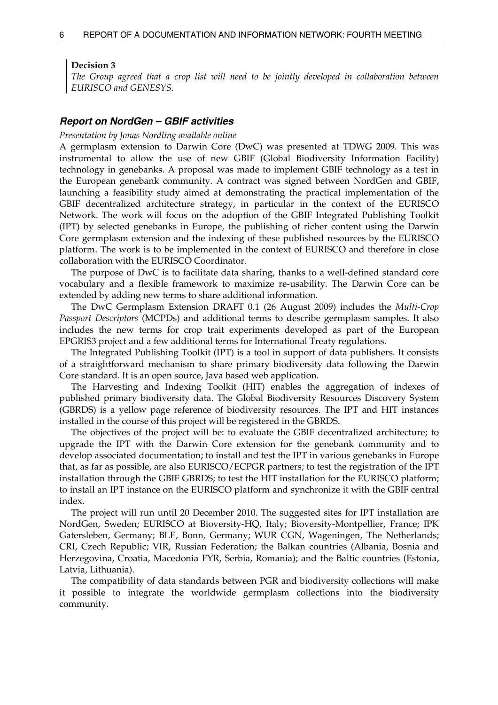#### <span id="page-7-0"></span>**Decision 3**

*The Group agreed that a crop list will need to be jointly developed in collaboration between EURISCO and GENESYS.* 

#### *Report on NordGen – GBIF activities*

#### *Presentation by Jonas Nordling available online*

A germplasm extension to Darwin Core (DwC) was presented at TDWG 2009. This was instrumental to allow the use of new GBIF (Global Biodiversity Information Facility) technology in genebanks. A proposal was made to implement GBIF technology as a test in the European genebank community. A contract was signed between NordGen and GBIF, launching a feasibility study aimed at demonstrating the practical implementation of the GBIF decentralized architecture strategy, in particular in the context of the EURISCO Network. The work will focus on the adoption of the GBIF Integrated Publishing Toolkit (IPT) by selected genebanks in Europe, the publishing of richer content using the Darwin Core germplasm extension and the indexing of these published resources by the EURISCO platform. The work is to be implemented in the context of EURISCO and therefore in close collaboration with the EURISCO Coordinator.

 The purpose of DwC is to facilitate data sharing, thanks to a well-defined standard core vocabulary and a flexible framework to maximize re-usability. The Darwin Core can be extended by adding new terms to share additional information.

 The DwC Germplasm Extension DRAFT 0.1 (26 August 2009) includes the *Multi-Crop Passport Descriptors* (MCPDs) and additional terms to describe germplasm samples. It also includes the new terms for crop trait experiments developed as part of the European EPGRIS3 project and a few additional terms for International Treaty regulations.

 The Integrated Publishing Toolkit (IPT) is a tool in support of data publishers. It consists of a straightforward mechanism to share primary biodiversity data following the Darwin Core standard. It is an open source, Java based web application.

 The Harvesting and Indexing Toolkit (HIT) enables the aggregation of indexes of published primary biodiversity data. The Global Biodiversity Resources Discovery System (GBRDS) is a yellow page reference of biodiversity resources. The IPT and HIT instances installed in the course of this project will be registered in the GBRDS.

 The objectives of the project will be: to evaluate the GBIF decentralized architecture; to upgrade the IPT with the Darwin Core extension for the genebank community and to develop associated documentation; to install and test the IPT in various genebanks in Europe that, as far as possible, are also EURISCO/ECPGR partners; to test the registration of the IPT installation through the GBIF GBRDS; to test the HIT installation for the EURISCO platform; to install an IPT instance on the EURISCO platform and synchronize it with the GBIF central index.

 The project will run until 20 December 2010. The suggested sites for IPT installation are NordGen, Sweden; EURISCO at Bioversity-HQ, Italy; Bioversity-Montpellier, France; IPK Gatersleben, Germany; BLE, Bonn, Germany; WUR CGN, Wageningen, The Netherlands; CRI, Czech Republic; VIR, Russian Federation; the Balkan countries (Albania, Bosnia and Herzegovina, Croatia, Macedonia FYR, Serbia, Romania); and the Baltic countries (Estonia, Latvia, Lithuania).

 The compatibility of data standards between PGR and biodiversity collections will make it possible to integrate the worldwide germplasm collections into the biodiversity community.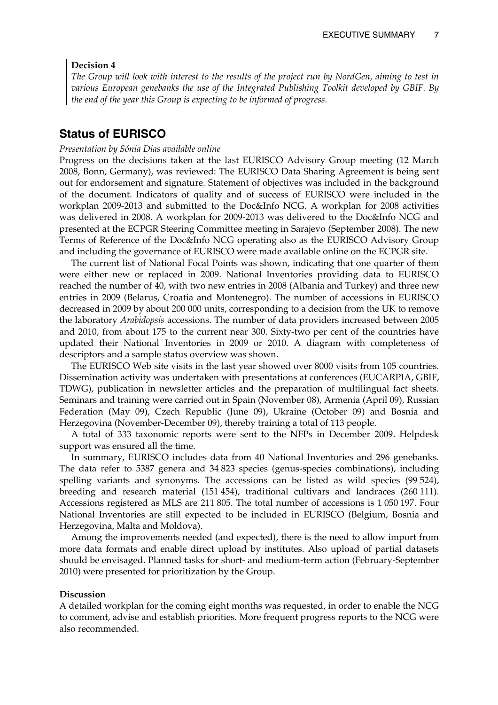#### <span id="page-8-0"></span>**Decision 4**

*The Group will look with interest to the results of the project run by NordGen, aiming to test in various European genebanks the use of the Integrated Publishing Toolkit developed by GBIF. By the end of the year this Group is expecting to be informed of progress.* 

# **Status of EURISCO**

#### *Presentation by Sónia Dias available online*

Progress on the decisions taken at the last EURISCO Advisory Group meeting (12 March 2008, Bonn, Germany), was reviewed: The EURISCO Data Sharing Agreement is being sent out for endorsement and signature. Statement of objectives was included in the background of the document. Indicators of quality and of success of EURISCO were included in the workplan 2009-2013 and submitted to the Doc&Info NCG. A workplan for 2008 activities was delivered in 2008. A workplan for 2009-2013 was delivered to the Doc&Info NCG and presented at the ECPGR Steering Committee meeting in Sarajevo (September 2008). The new Terms of Reference of the Doc&Info NCG operating also as the EURISCO Advisory Group and including the governance of EURISCO were made available online on the ECPGR site.

 The current list of National Focal Points was shown, indicating that one quarter of them were either new or replaced in 2009. National Inventories providing data to EURISCO reached the number of 40, with two new entries in 2008 (Albania and Turkey) and three new entries in 2009 (Belarus, Croatia and Montenegro). The number of accessions in EURISCO decreased in 2009 by about 200 000 units, corresponding to a decision from the UK to remove the laboratory *Arabidopsis* accessions. The number of data providers increased between 2005 and 2010, from about 175 to the current near 300. Sixty-two per cent of the countries have updated their National Inventories in 2009 or 2010. A diagram with completeness of descriptors and a sample status overview was shown.

 The EURISCO Web site visits in the last year showed over 8000 visits from 105 countries. Dissemination activity was undertaken with presentations at conferences (EUCARPIA, GBIF, TDWG), publication in newsletter articles and the preparation of multilingual fact sheets. Seminars and training were carried out in Spain (November 08), Armenia (April 09), Russian Federation (May 09), Czech Republic (June 09), Ukraine (October 09) and Bosnia and Herzegovina (November-December 09), thereby training a total of 113 people.

 A total of 333 taxonomic reports were sent to the NFPs in December 2009. Helpdesk support was ensured all the time.

 In summary, EURISCO includes data from 40 National Inventories and 296 genebanks. The data refer to 5387 genera and 34 823 species (genus-species combinations), including spelling variants and synonyms. The accessions can be listed as wild species (99 524), breeding and research material (151 454), traditional cultivars and landraces (260 111). Accessions registered as MLS are 211 805. The total number of accessions is 1 050 197. Four National Inventories are still expected to be included in EURISCO (Belgium, Bosnia and Herzegovina, Malta and Moldova).

 Among the improvements needed (and expected), there is the need to allow import from more data formats and enable direct upload by institutes. Also upload of partial datasets should be envisaged. Planned tasks for short- and medium-term action (February-September 2010) were presented for prioritization by the Group.

#### **Discussion**

A detailed workplan for the coming eight months was requested, in order to enable the NCG to comment, advise and establish priorities. More frequent progress reports to the NCG were also recommended.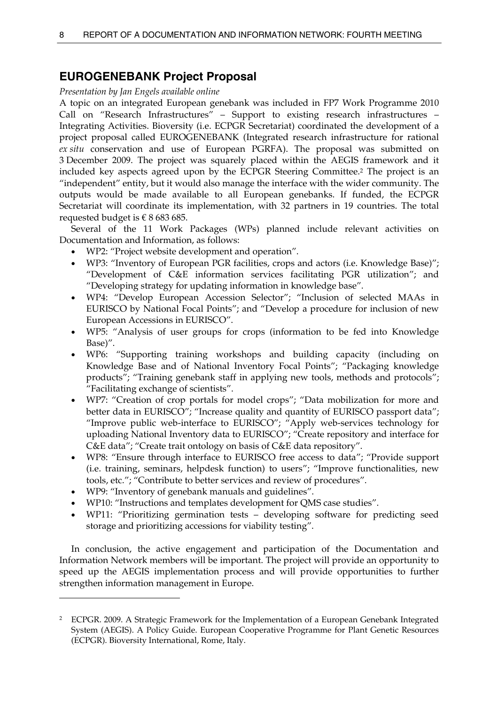# <span id="page-9-0"></span>**EUROGENEBANK Project Proposal**

### *Presentation by Jan Engels available online*

A topic on an integrated European genebank was included in FP7 Work Programme 2010 Call on "Research Infrastructures" – Support to existing research infrastructures – Integrating Activities. Bioversity (i.e. ECPGR Secretariat) coordinated the development of a project proposal called EUROGENEBANK (Integrated research infrastructure for rational *ex situ* conservation and use of European PGRFA). The proposal was submitted on 3 December 2009. The project was squarely placed within the AEGIS framework and it included key aspects agreed upon by the ECPGR Steering Committee.[2](#page-9-1) The project is an "independent" entity, but it would also manage the interface with the wider community. The outputs would be made available to all European genebanks. If funded, the ECPGR Secretariat will coordinate its implementation, with 32 partners in 19 countries. The total requested budget is  $\epsilon$  8 683 685.

 Several of the 11 Work Packages (WPs) planned include relevant activities on Documentation and Information, as follows:

- WP2: "Project website development and operation".
- WP3: "Inventory of European PGR facilities, crops and actors (i.e. Knowledge Base)"; "Development of C&E information services facilitating PGR utilization"; and "Developing strategy for updating information in knowledge base".
- WP4: "Develop European Accession Selector"; "Inclusion of selected MAAs in EURISCO by National Focal Points"; and "Develop a procedure for inclusion of new European Accessions in EURISCO".
- WP5: "Analysis of user groups for crops (information to be fed into Knowledge Base)".
- WP6: "Supporting training workshops and building capacity (including on Knowledge Base and of National Inventory Focal Points"; "Packaging knowledge products"; "Training genebank staff in applying new tools, methods and protocols"; "Facilitating exchange of scientists".
- WP7: "Creation of crop portals for model crops"; "Data mobilization for more and better data in EURISCO"; "Increase quality and quantity of EURISCO passport data"; "Improve public web-interface to EURISCO"; "Apply web-services technology for uploading National Inventory data to EURISCO"; "Create repository and interface for C&E data"; "Create trait ontology on basis of C&E data repository".
- WP8: "Ensure through interface to EURISCO free access to data"; "Provide support (i.e. training, seminars, helpdesk function) to users"; "Improve functionalities, new tools, etc."; "Contribute to better services and review of procedures".
- WP9: "Inventory of genebank manuals and guidelines".

 $\overline{a}$ 

- WP10: "Instructions and templates development for QMS case studies".
- WP11: "Prioritizing germination tests developing software for predicting seed storage and prioritizing accessions for viability testing".

 In conclusion, the active engagement and participation of the Documentation and Information Network members will be important. The project will provide an opportunity to speed up the AEGIS implementation process and will provide opportunities to further strengthen information management in Europe.

<span id="page-9-1"></span><sup>&</sup>lt;sup>2</sup> ECPGR. 2009. A Strategic Framework for the Implementation of a European Genebank Integrated System (AEGIS). A Policy Guide. European Cooperative Programme for Plant Genetic Resources (ECPGR). Bioversity International, Rome, Italy.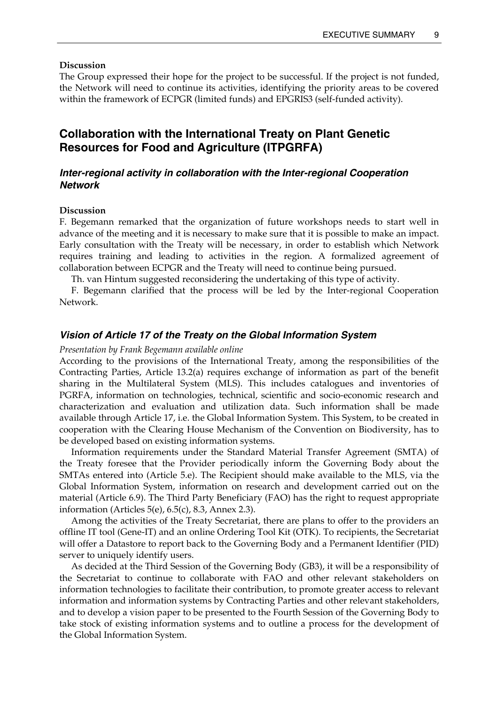#### <span id="page-10-0"></span>**Discussion**

The Group expressed their hope for the project to be successful. If the project is not funded, the Network will need to continue its activities, identifying the priority areas to be covered within the framework of ECPGR (limited funds) and EPGRIS3 (self-funded activity).

# **Collaboration with the International Treaty on Plant Genetic Resources for Food and Agriculture (ITPGRFA)**

# *Inter-regional activity in collaboration with the Inter-regional Cooperation Network*

#### **Discussion**

F. Begemann remarked that the organization of future workshops needs to start well in advance of the meeting and it is necessary to make sure that it is possible to make an impact. Early consultation with the Treaty will be necessary, in order to establish which Network requires training and leading to activities in the region. A formalized agreement of collaboration between ECPGR and the Treaty will need to continue being pursued.

Th. van Hintum suggested reconsidering the undertaking of this type of activity.

 F. Begemann clarified that the process will be led by the Inter-regional Cooperation Network.

## *Vision of Article 17 of the Treaty on the Global Information System*

*Presentation by Frank Begemann available online* 

According to the provisions of the International Treaty, among the responsibilities of the Contracting Parties, Article 13.2(a) requires exchange of information as part of the benefit sharing in the Multilateral System (MLS). This includes catalogues and inventories of PGRFA, information on technologies, technical, scientific and socio-economic research and characterization and evaluation and utilization data. Such information shall be made available through Article 17, i.e. the Global Information System. This System, to be created in cooperation with the Clearing House Mechanism of the Convention on Biodiversity, has to be developed based on existing information systems.

 Information requirements under the Standard Material Transfer Agreement (SMTA) of the Treaty foresee that the Provider periodically inform the Governing Body about the SMTAs entered into (Article 5.e). The Recipient should make available to the MLS, via the Global Information System, information on research and development carried out on the material (Article 6.9). The Third Party Beneficiary (FAO) has the right to request appropriate information (Articles 5(e), 6.5(c), 8.3, Annex 2.3).

 Among the activities of the Treaty Secretariat, there are plans to offer to the providers an offline IT tool (Gene-IT) and an online Ordering Tool Kit (OTK). To recipients, the Secretariat will offer a Datastore to report back to the Governing Body and a Permanent Identifier (PID) server to uniquely identify users.

 As decided at the Third Session of the Governing Body (GB3), it will be a responsibility of the Secretariat to continue to collaborate with FAO and other relevant stakeholders on information technologies to facilitate their contribution, to promote greater access to relevant information and information systems by Contracting Parties and other relevant stakeholders, and to develop a vision paper to be presented to the Fourth Session of the Governing Body to take stock of existing information systems and to outline a process for the development of the Global Information System.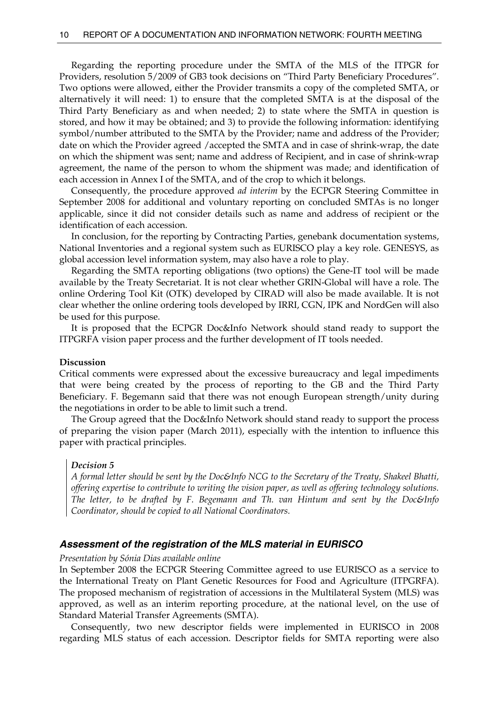<span id="page-11-0"></span> Regarding the reporting procedure under the SMTA of the MLS of the ITPGR for Providers, resolution 5/2009 of GB3 took decisions on "Third Party Beneficiary Procedures". Two options were allowed, either the Provider transmits a copy of the completed SMTA, or alternatively it will need: 1) to ensure that the completed SMTA is at the disposal of the Third Party Beneficiary as and when needed; 2) to state where the SMTA in question is stored, and how it may be obtained; and 3) to provide the following information: identifying symbol/number attributed to the SMTA by the Provider; name and address of the Provider; date on which the Provider agreed /accepted the SMTA and in case of shrink-wrap, the date on which the shipment was sent; name and address of Recipient, and in case of shrink-wrap agreement, the name of the person to whom the shipment was made; and identification of each accession in Annex I of the SMTA, and of the crop to which it belongs.

 Consequently, the procedure approved *ad interim* by the ECPGR Steering Committee in September 2008 for additional and voluntary reporting on concluded SMTAs is no longer applicable, since it did not consider details such as name and address of recipient or the identification of each accession.

 In conclusion, for the reporting by Contracting Parties, genebank documentation systems, National Inventories and a regional system such as EURISCO play a key role. GENESYS, as global accession level information system, may also have a role to play.

 Regarding the SMTA reporting obligations (two options) the Gene-IT tool will be made available by the Treaty Secretariat. It is not clear whether GRIN-Global will have a role. The online Ordering Tool Kit (OTK) developed by CIRAD will also be made available. It is not clear whether the online ordering tools developed by IRRI, CGN, IPK and NordGen will also be used for this purpose.

 It is proposed that the ECPGR Doc&Info Network should stand ready to support the ITPGRFA vision paper process and the further development of IT tools needed.

#### **Discussion**

Critical comments were expressed about the excessive bureaucracy and legal impediments that were being created by the process of reporting to the GB and the Third Party Beneficiary. F. Begemann said that there was not enough European strength/unity during the negotiations in order to be able to limit such a trend.

 The Group agreed that the Doc&Info Network should stand ready to support the process of preparing the vision paper (March 2011), especially with the intention to influence this paper with practical principles.

#### *Decision 5*

*A formal letter should be sent by the Doc&Info NCG to the Secretary of the Treaty, Shakeel Bhatti, offering expertise to contribute to writing the vision paper, as well as offering technology solutions. The letter, to be drafted by F. Begemann and Th. van Hintum and sent by the Doc&Info Coordinator, should be copied to all National Coordinators.* 

#### *Assessment of the registration of the MLS material in EURISCO*

#### *Presentation by Sónia Dias available online*

In September 2008 the ECPGR Steering Committee agreed to use EURISCO as a service to the International Treaty on Plant Genetic Resources for Food and Agriculture (ITPGRFA). The proposed mechanism of registration of accessions in the Multilateral System (MLS) was approved, as well as an interim reporting procedure, at the national level, on the use of Standard Material Transfer Agreements (SMTA).

 Consequently, two new descriptor fields were implemented in EURISCO in 2008 regarding MLS status of each accession. Descriptor fields for SMTA reporting were also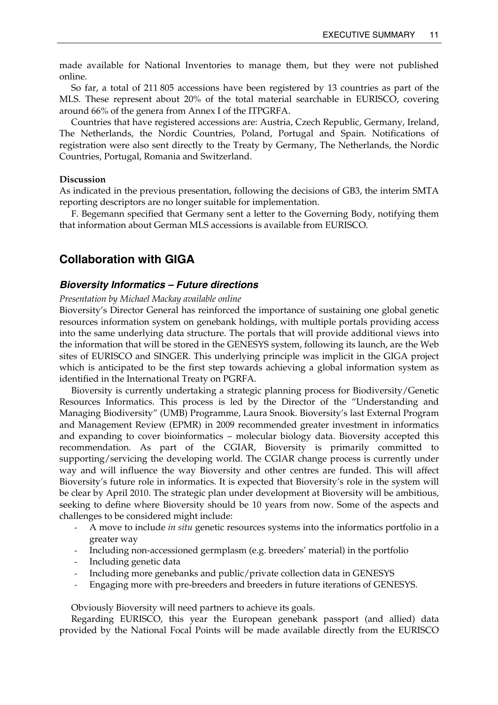<span id="page-12-0"></span>made available for National Inventories to manage them, but they were not published online.

 So far, a total of 211 805 accessions have been registered by 13 countries as part of the MLS. These represent about 20% of the total material searchable in EURISCO, covering around 66% of the genera from Annex I of the ITPGRFA.

 Countries that have registered accessions are: Austria, Czech Republic, Germany, Ireland, The Netherlands, the Nordic Countries, Poland, Portugal and Spain. Notifications of registration were also sent directly to the Treaty by Germany, The Netherlands, the Nordic Countries, Portugal, Romania and Switzerland.

### **Discussion**

As indicated in the previous presentation, following the decisions of GB3, the interim SMTA reporting descriptors are no longer suitable for implementation.

 F. Begemann specified that Germany sent a letter to the Governing Body, notifying them that information about German MLS accessions is available from EURISCO.

# **Collaboration with GIGA**

#### *Bioversity Informatics – Future directions*

#### *Presentation by Michael Mackay available online*

Bioversity's Director General has reinforced the importance of sustaining one global genetic resources information system on genebank holdings, with multiple portals providing access into the same underlying data structure. The portals that will provide additional views into the information that will be stored in the GENESYS system, following its launch, are the Web sites of EURISCO and SINGER. This underlying principle was implicit in the GIGA project which is anticipated to be the first step towards achieving a global information system as identified in the International Treaty on PGRFA.

 Bioversity is currently undertaking a strategic planning process for Biodiversity/Genetic Resources Informatics. This process is led by the Director of the "Understanding and Managing Biodiversity" (UMB) Programme, Laura Snook. Bioversity's last External Program and Management Review (EPMR) in 2009 recommended greater investment in informatics and expanding to cover bioinformatics – molecular biology data. Bioversity accepted this recommendation. As part of the CGIAR, Bioversity is primarily committed to supporting/servicing the developing world. The CGIAR change process is currently under way and will influence the way Bioversity and other centres are funded. This will affect Bioversity's future role in informatics. It is expected that Bioversity's role in the system will be clear by April 2010. The strategic plan under development at Bioversity will be ambitious, seeking to define where Bioversity should be 10 years from now. Some of the aspects and challenges to be considered might include:

- A move to include *in situ* genetic resources systems into the informatics portfolio in a greater way
- Including non-accessioned germplasm (e.g. breeders' material) in the portfolio
- Including genetic data
- Including more genebanks and public/private collection data in GENESYS
- Engaging more with pre-breeders and breeders in future iterations of GENESYS.

Obviously Bioversity will need partners to achieve its goals.

 Regarding EURISCO, this year the European genebank passport (and allied) data provided by the National Focal Points will be made available directly from the EURISCO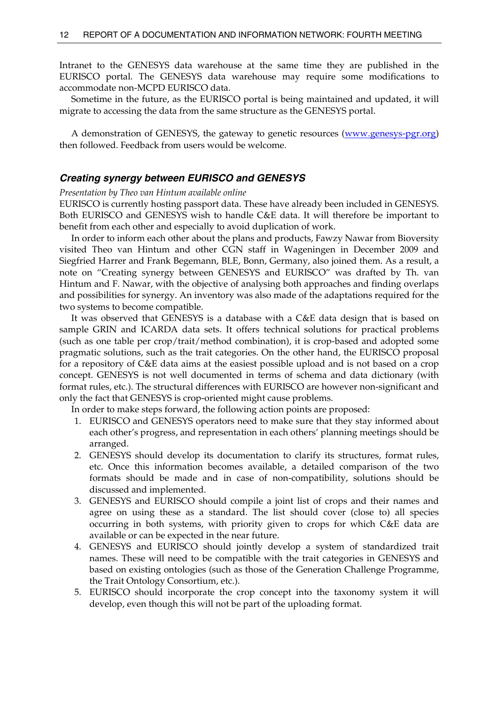<span id="page-13-0"></span>Intranet to the GENESYS data warehouse at the same time they are published in the EURISCO portal. The GENESYS data warehouse may require some modifications to accommodate non-MCPD EURISCO data.

 Sometime in the future, as the EURISCO portal is being maintained and updated, it will migrate to accessing the data from the same structure as the GENESYS portal.

A demonstration of GENESYS, the gateway to genetic resources [\(www.genesys-pgr.org\)](http://www.genesys-pgr.org/) then followed. Feedback from users would be welcome.

### *Creating synergy between EURISCO and GENESYS*

#### *Presentation by Theo van Hintum available online*

EURISCO is currently hosting passport data. These have already been included in GENESYS. Both EURISCO and GENESYS wish to handle C&E data. It will therefore be important to benefit from each other and especially to avoid duplication of work.

 In order to inform each other about the plans and products, Fawzy Nawar from Bioversity visited Theo van Hintum and other CGN staff in Wageningen in December 2009 and Siegfried Harrer and Frank Begemann, BLE, Bonn, Germany, also joined them. As a result, a note on "Creating synergy between GENESYS and EURISCO" was drafted by Th. van Hintum and F. Nawar, with the objective of analysing both approaches and finding overlaps and possibilities for synergy. An inventory was also made of the adaptations required for the two systems to become compatible.

 It was observed that GENESYS is a database with a C&E data design that is based on sample GRIN and ICARDA data sets. It offers technical solutions for practical problems (such as one table per crop/trait/method combination), it is crop-based and adopted some pragmatic solutions, such as the trait categories. On the other hand, the EURISCO proposal for a repository of C&E data aims at the easiest possible upload and is not based on a crop concept. GENESYS is not well documented in terms of schema and data dictionary (with format rules, etc.). The structural differences with EURISCO are however non-significant and only the fact that GENESYS is crop-oriented might cause problems.

In order to make steps forward, the following action points are proposed:

- 1. EURISCO and GENESYS operators need to make sure that they stay informed about each other's progress, and representation in each others' planning meetings should be arranged.
- 2. GENESYS should develop its documentation to clarify its structures, format rules, etc. Once this information becomes available, a detailed comparison of the two formats should be made and in case of non-compatibility, solutions should be discussed and implemented.
- 3. GENESYS and EURISCO should compile a joint list of crops and their names and agree on using these as a standard. The list should cover (close to) all species occurring in both systems, with priority given to crops for which C&E data are available or can be expected in the near future.
- 4. GENESYS and EURISCO should jointly develop a system of standardized trait names. These will need to be compatible with the trait categories in GENESYS and based on existing ontologies (such as those of the Generation Challenge Programme, the Trait Ontology Consortium, etc.).
- 5. EURISCO should incorporate the crop concept into the taxonomy system it will develop, even though this will not be part of the uploading format.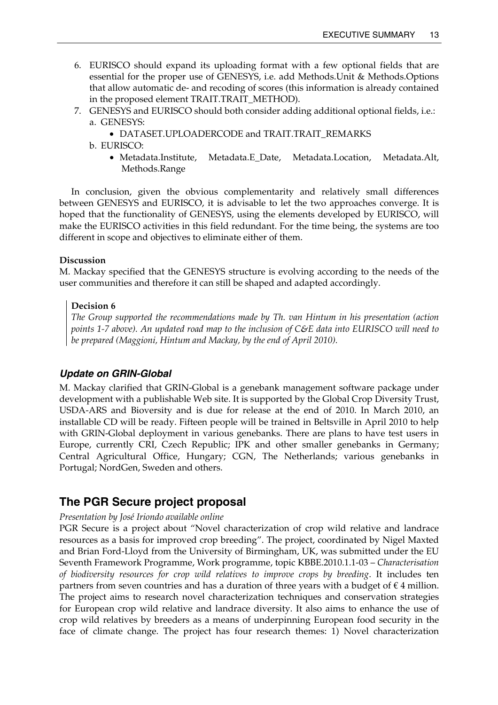- <span id="page-14-0"></span>6. EURISCO should expand its uploading format with a few optional fields that are essential for the proper use of GENESYS, i.e. add Methods.Unit & Methods.Options that allow automatic de- and recoding of scores (this information is already contained in the proposed element TRAIT.TRAIT\_METHOD).
- 7. GENESYS and EURISCO should both consider adding additional optional fields, i.e.: a. GENESYS:
	- DATASET.UPLOADERCODE and TRAIT.TRAIT\_REMARKS

b. EURISCO:

• Metadata.Institute, Metadata.E\_Date, Metadata.Location, Metadata.Alt, Methods.Range

 In conclusion, given the obvious complementarity and relatively small differences between GENESYS and EURISCO, it is advisable to let the two approaches converge. It is hoped that the functionality of GENESYS, using the elements developed by EURISCO, will make the EURISCO activities in this field redundant. For the time being, the systems are too different in scope and objectives to eliminate either of them.

## **Discussion**

M. Mackay specified that the GENESYS structure is evolving according to the needs of the user communities and therefore it can still be shaped and adapted accordingly.

# **Decision 6**

*The Group supported the recommendations made by Th. van Hintum in his presentation (action points 1-7 above). An updated road map to the inclusion of C&E data into EURISCO will need to be prepared (Maggioni, Hintum and Mackay, by the end of April 2010).* 

# *Update on GRIN-Global*

M. Mackay clarified that GRIN-Global is a genebank management software package under development with a publishable Web site. It is supported by the Global Crop Diversity Trust, USDA-ARS and Bioversity and is due for release at the end of 2010. In March 2010, an installable CD will be ready. Fifteen people will be trained in Beltsville in April 2010 to help with GRIN-Global deployment in various genebanks. There are plans to have test users in Europe, currently CRI, Czech Republic; IPK and other smaller genebanks in Germany; Central Agricultural Office, Hungary; CGN, The Netherlands; various genebanks in Portugal; NordGen, Sweden and others.

# **The PGR Secure project proposal**

# *Presentation by José Iriondo available online*

PGR Secure is a project about "Novel characterization of crop wild relative and landrace resources as a basis for improved crop breeding". The project, coordinated by Nigel Maxted and Brian Ford-Lloyd from the University of Birmingham, UK, was submitted under the EU Seventh Framework Programme, Work programme, topic KBBE.2010.1.1-03 – *Characterisation of biodiversity resources for crop wild relatives to improve crops by breeding*. It includes ten partners from seven countries and has a duration of three years with a budget of  $\epsilon$  4 million. The project aims to research novel characterization techniques and conservation strategies for European crop wild relative and landrace diversity. It also aims to enhance the use of crop wild relatives by breeders as a means of underpinning European food security in the face of climate change. The project has four research themes: 1) Novel characterization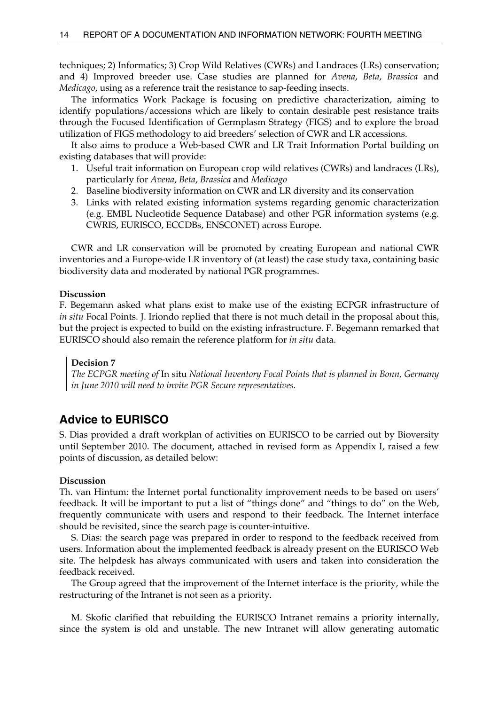<span id="page-15-0"></span>techniques; 2) Informatics; 3) Crop Wild Relatives (CWRs) and Landraces (LRs) conservation; and 4) Improved breeder use. Case studies are planned for *Avena*, *Beta*, *Brassica* and *Medicago*, using as a reference trait the resistance to sap-feeding insects.

 The informatics Work Package is focusing on predictive characterization, aiming to identify populations/accessions which are likely to contain desirable pest resistance traits through the Focused Identification of Germplasm Strategy (FIGS) and to explore the broad utilization of FIGS methodology to aid breeders' selection of CWR and LR accessions.

 It also aims to produce a Web-based CWR and LR Trait Information Portal building on existing databases that will provide:

- 1. Useful trait information on European crop wild relatives (CWRs) and landraces (LRs), particularly for *Avena*, *Beta*, *Brassica* and *Medicago*
- 2. Baseline biodiversity information on CWR and LR diversity and its conservation
- 3. Links with related existing information systems regarding genomic characterization (e.g. EMBL Nucleotide Sequence Database) and other PGR information systems (e.g. CWRIS, EURISCO, ECCDBs, ENSCONET) across Europe.

 CWR and LR conservation will be promoted by creating European and national CWR inventories and a Europe-wide LR inventory of (at least) the case study taxa, containing basic biodiversity data and moderated by national PGR programmes.

## **Discussion**

F. Begemann asked what plans exist to make use of the existing ECPGR infrastructure of *in situ* Focal Points. J. Iriondo replied that there is not much detail in the proposal about this, but the project is expected to build on the existing infrastructure. F. Begemann remarked that EURISCO should also remain the reference platform for *in situ* data.

## **Decision 7**

*The ECPGR meeting of* In situ *National Inventory Focal Points that is planned in Bonn, Germany in June 2010 will need to invite PGR Secure representatives.* 

# **Advice to EURISCO**

S. Dias provided a draft workplan of activities on EURISCO to be carried out by Bioversity until September 2010. The document, attached in revised form as Appendix I, raised a few points of discussion, as detailed below:

#### **Discussion**

Th. van Hintum: the Internet portal functionality improvement needs to be based on users' feedback. It will be important to put a list of "things done" and "things to do" on the Web, frequently communicate with users and respond to their feedback. The Internet interface should be revisited, since the search page is counter-intuitive.

 S. Dias: the search page was prepared in order to respond to the feedback received from users. Information about the implemented feedback is already present on the EURISCO Web site. The helpdesk has always communicated with users and taken into consideration the feedback received.

 The Group agreed that the improvement of the Internet interface is the priority, while the restructuring of the Intranet is not seen as a priority.

 M. Skofic clarified that rebuilding the EURISCO Intranet remains a priority internally, since the system is old and unstable. The new Intranet will allow generating automatic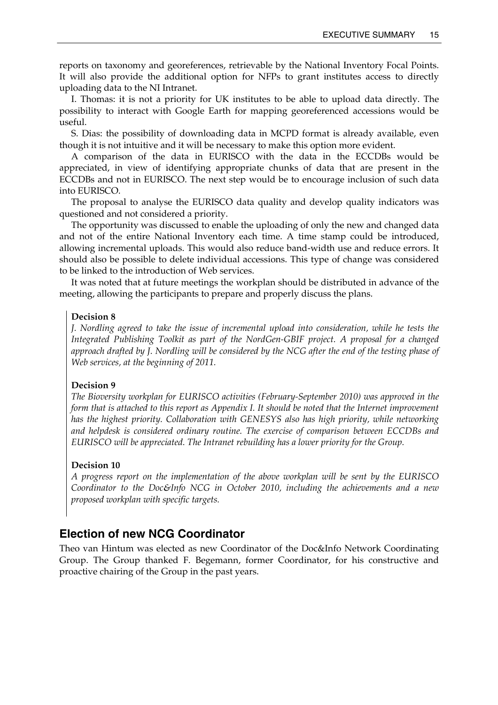<span id="page-16-0"></span>reports on taxonomy and georeferences, retrievable by the National Inventory Focal Points. It will also provide the additional option for NFPs to grant institutes access to directly uploading data to the NI Intranet.

 I. Thomas: it is not a priority for UK institutes to be able to upload data directly. The possibility to interact with Google Earth for mapping georeferenced accessions would be useful.

 S. Dias: the possibility of downloading data in MCPD format is already available, even though it is not intuitive and it will be necessary to make this option more evident.

 A comparison of the data in EURISCO with the data in the ECCDBs would be appreciated, in view of identifying appropriate chunks of data that are present in the ECCDBs and not in EURISCO. The next step would be to encourage inclusion of such data into EURISCO.

 The proposal to analyse the EURISCO data quality and develop quality indicators was questioned and not considered a priority.

 The opportunity was discussed to enable the uploading of only the new and changed data and not of the entire National Inventory each time. A time stamp could be introduced, allowing incremental uploads. This would also reduce band-width use and reduce errors. It should also be possible to delete individual accessions. This type of change was considered to be linked to the introduction of Web services.

 It was noted that at future meetings the workplan should be distributed in advance of the meeting, allowing the participants to prepare and properly discuss the plans.

#### **Decision 8**

*J. Nordling agreed to take the issue of incremental upload into consideration, while he tests the Integrated Publishing Toolkit as part of the NordGen-GBIF project. A proposal for a changed approach drafted by J. Nordling will be considered by the NCG after the end of the testing phase of Web services, at the beginning of 2011.* 

#### **Decision 9**

*The Bioversity workplan for EURISCO activities (February-September 2010) was approved in the form that is attached to this report as Appendix I. It should be noted that the Internet improvement has the highest priority. Collaboration with GENESYS also has high priority, while networking and helpdesk is considered ordinary routine. The exercise of comparison between ECCDBs and EURISCO will be appreciated. The Intranet rebuilding has a lower priority for the Group.* 

#### **Decision 10**

*A progress report on the implementation of the above workplan will be sent by the EURISCO Coordinator to the Doc&Info NCG in October 2010, including the achievements and a new proposed workplan with specific targets.* 

# **Election of new NCG Coordinator**

Theo van Hintum was elected as new Coordinator of the Doc&Info Network Coordinating Group. The Group thanked F. Begemann, former Coordinator, for his constructive and proactive chairing of the Group in the past years.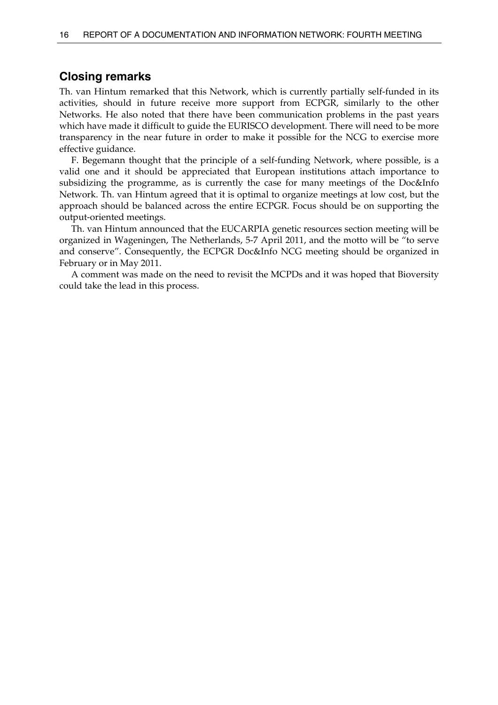# <span id="page-17-0"></span>**Closing remarks**

Th. van Hintum remarked that this Network, which is currently partially self-funded in its activities, should in future receive more support from ECPGR, similarly to the other Networks. He also noted that there have been communication problems in the past years which have made it difficult to guide the EURISCO development. There will need to be more transparency in the near future in order to make it possible for the NCG to exercise more effective guidance.

 F. Begemann thought that the principle of a self-funding Network, where possible, is a valid one and it should be appreciated that European institutions attach importance to subsidizing the programme, as is currently the case for many meetings of the Doc&Info Network. Th. van Hintum agreed that it is optimal to organize meetings at low cost, but the approach should be balanced across the entire ECPGR. Focus should be on supporting the output-oriented meetings.

 Th. van Hintum announced that the EUCARPIA genetic resources section meeting will be organized in Wageningen, The Netherlands, 5-7 April 2011, and the motto will be "to serve and conserve". Consequently, the ECPGR Doc&Info NCG meeting should be organized in February or in May 2011.

 A comment was made on the need to revisit the MCPDs and it was hoped that Bioversity could take the lead in this process.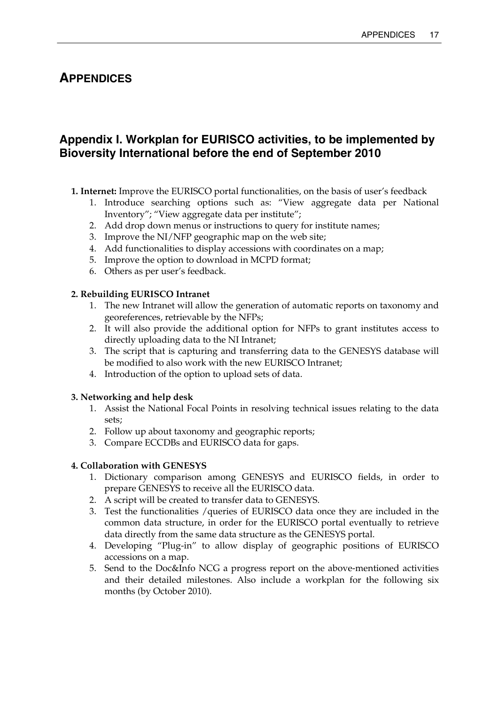# <span id="page-18-0"></span>**APPENDICES**

# **Appendix I. Workplan for EURISCO activities, to be implemented by Bioversity International before the end of September 2010**

- **1. Internet:** Improve the EURISCO portal functionalities, on the basis of user's feedback
	- 1. Introduce searching options such as: "View aggregate data per National Inventory"; "View aggregate data per institute";
	- 2. Add drop down menus or instructions to query for institute names;
	- 3. Improve the NI/NFP geographic map on the web site;
	- 4. Add functionalities to display accessions with coordinates on a map;
	- 5. Improve the option to download in MCPD format;
	- 6. Others as per user's feedback.

# **2. Rebuilding EURISCO Intranet**

- 1. The new Intranet will allow the generation of automatic reports on taxonomy and georeferences, retrievable by the NFPs;
- 2. It will also provide the additional option for NFPs to grant institutes access to directly uploading data to the NI Intranet;
- 3. The script that is capturing and transferring data to the GENESYS database will be modified to also work with the new EURISCO Intranet;
- 4. Introduction of the option to upload sets of data.

# **3. Networking and help desk**

- 1. Assist the National Focal Points in resolving technical issues relating to the data sets;
- 2. Follow up about taxonomy and geographic reports;
- 3. Compare ECCDBs and EURISCO data for gaps.

# **4. Collaboration with GENESYS**

- 1. Dictionary comparison among GENESYS and EURISCO fields, in order to prepare GENESYS to receive all the EURISCO data.
- 2. A script will be created to transfer data to GENESYS.
- 3. Test the functionalities /queries of EURISCO data once they are included in the common data structure, in order for the EURISCO portal eventually to retrieve data directly from the same data structure as the GENESYS portal.
- 4. Developing "Plug-in" to allow display of geographic positions of EURISCO accessions on a map.
- 5. Send to the Doc&Info NCG a progress report on the above-mentioned activities and their detailed milestones. Also include a workplan for the following six months (by October 2010).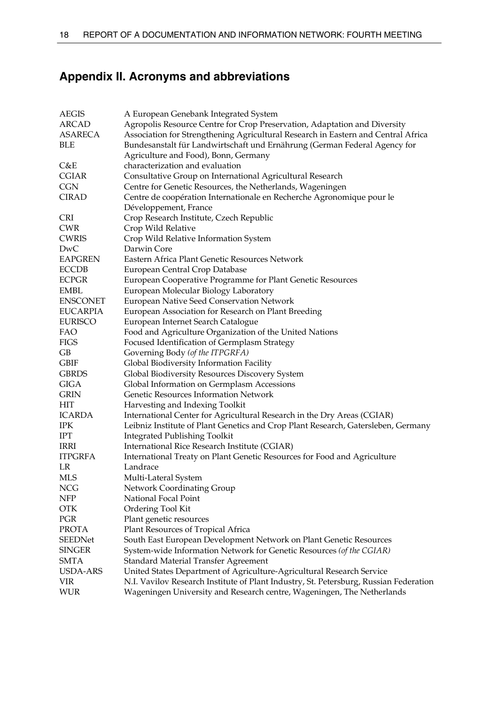# <span id="page-19-0"></span>**Appendix II. Acronyms and abbreviations**

| <b>AEGIS</b>    | A European Genebank Integrated System                                                 |
|-----------------|---------------------------------------------------------------------------------------|
| <b>ARCAD</b>    | Agropolis Resource Centre for Crop Preservation, Adaptation and Diversity             |
| <b>ASARECA</b>  | Association for Strengthening Agricultural Research in Eastern and Central Africa     |
| BLE             | Bundesanstalt für Landwirtschaft und Ernährung (German Federal Agency for             |
|                 | Agriculture and Food), Bonn, Germany                                                  |
| C&E             | characterization and evaluation                                                       |
| <b>CGIAR</b>    | Consultative Group on International Agricultural Research                             |
| CGN             | Centre for Genetic Resources, the Netherlands, Wageningen                             |
| CIRAD           | Centre de coopération Internationale en Recherche Agronomique pour le                 |
|                 | Développement, France                                                                 |
| <b>CRI</b>      | Crop Research Institute, Czech Republic                                               |
| <b>CWR</b>      | Crop Wild Relative                                                                    |
| <b>CWRIS</b>    | Crop Wild Relative Information System                                                 |
| DwC             | Darwin Core                                                                           |
| <b>EAPGREN</b>  | Eastern Africa Plant Genetic Resources Network                                        |
| <b>ECCDB</b>    | European Central Crop Database                                                        |
| <b>ECPGR</b>    | European Cooperative Programme for Plant Genetic Resources                            |
| <b>EMBL</b>     | European Molecular Biology Laboratory                                                 |
| <b>ENSCONET</b> | European Native Seed Conservation Network                                             |
| <b>EUCARPIA</b> | European Association for Research on Plant Breeding                                   |
| <b>EURISCO</b>  | European Internet Search Catalogue                                                    |
| FAO             | Food and Agriculture Organization of the United Nations                               |
| FIGS            | Focused Identification of Germplasm Strategy                                          |
| GB              | Governing Body (of the ITPGRFA)                                                       |
| <b>GBIF</b>     | Global Biodiversity Information Facility                                              |
| <b>GBRDS</b>    | Global Biodiversity Resources Discovery System                                        |
| <b>GIGA</b>     | Global Information on Germplasm Accessions                                            |
| <b>GRIN</b>     | Genetic Resources Information Network                                                 |
| HIT             | Harvesting and Indexing Toolkit                                                       |
| <b>ICARDA</b>   | International Center for Agricultural Research in the Dry Areas (CGIAR)               |
| IPK             | Leibniz Institute of Plant Genetics and Crop Plant Research, Gatersleben, Germany     |
| IPT             | <b>Integrated Publishing Toolkit</b>                                                  |
| IRRI            | International Rice Research Institute (CGIAR)                                         |
| <b>ITPGRFA</b>  | International Treaty on Plant Genetic Resources for Food and Agriculture              |
| LR              | Landrace                                                                              |
| MLS             | Multi-Lateral System                                                                  |
| <b>NCG</b>      | Network Coordinating Group                                                            |
| <b>NFP</b>      | National Focal Point                                                                  |
| <b>OTK</b>      | Ordering Tool Kit                                                                     |
| PGR             | Plant genetic resources                                                               |
| <b>PROTA</b>    | Plant Resources of Tropical Africa                                                    |
| <b>SEEDNet</b>  | South East European Development Network on Plant Genetic Resources                    |
| <b>SINGER</b>   | System-wide Information Network for Genetic Resources (of the CGIAR)                  |
| <b>SMTA</b>     | Standard Material Transfer Agreement                                                  |
| USDA-ARS        | United States Department of Agriculture-Agricultural Research Service                 |
| VIR             | N.I. Vavilov Research Institute of Plant Industry, St. Petersburg, Russian Federation |
| <b>WUR</b>      | Wageningen University and Research centre, Wageningen, The Netherlands                |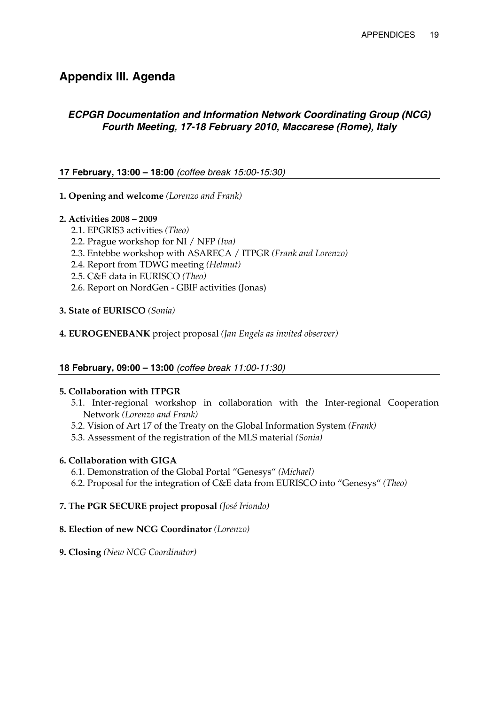# <span id="page-20-0"></span>**Appendix III. Agenda**

# *ECPGR Documentation and Information Network Coordinating Group (NCG) Fourth Meeting, 17-18 February 2010, Maccarese (Rome), Italy*

# **17 February, 13:00 – 18:00** *(coffee break 15:00-15:30)*

- **1. Opening and welcome** *(Lorenzo and Frank)*
- **2. Activities 2008 2009** 
	- 2.1. EPGRIS3 activities *(Theo)*
	- 2.2. Prague workshop for NI / NFP *(Iva)*
	- 2.3. Entebbe workshop with ASARECA / ITPGR *(Frank and Lorenzo)*
	- 2.4. Report from TDWG meeting *(Helmut)*
	- 2.5. C&E data in EURISCO *(Theo)*
	- 2.6. Report on NordGen GBIF activities (Jonas)

## **3. State of EURISCO** *(Sonia)*

**4. EUROGENEBANK** project proposal *(Jan Engels as invited observer)*

## **18 February, 09:00 – 13:00** *(coffee break 11:00-11:30)*

## **5. Collaboration with ITPGR**

- 5.1. Inter-regional workshop in collaboration with the Inter-regional Cooperation Network *(Lorenzo and Frank)*
- 5.2. Vision of Art 17 of the Treaty on the Global Information System *(Frank)*
- 5.3. Assessment of the registration of the MLS material *(Sonia)*

## **6. Collaboration with GIGA**

- 6.1. Demonstration of the Global Portal "Genesys" *(Michael)*
- 6.2. Proposal for the integration of C&E data from EURISCO into "Genesys" *(Theo)*
- **7. The PGR SECURE project proposal** *(José Iriondo)*

## **8. Election of new NCG Coordinator** *(Lorenzo)*

**9. Closing** *(New NCG Coordinator)*